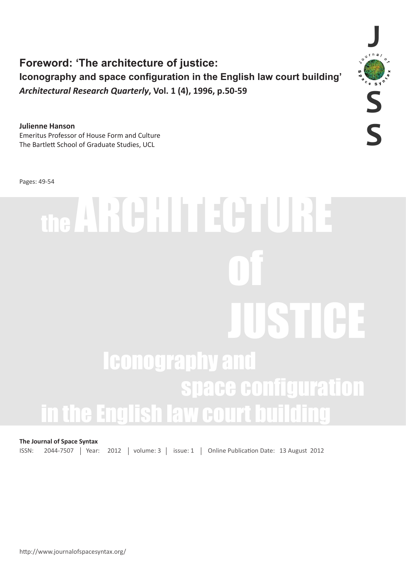**Foreword: 'The architecture of justice: Iconography and space configuration in the English law court building'** *Architectural Research Quarterly***, Vol. 1 (4), 1996, p.50-59** 

**Julienne Hanson** Emeritus Professor of House Form and Culture The Bartlett School of Graduate Studies, UCL

Pages: 49-54

# the ARCHITECTURE of the contract of the contract of the contract of the contract of the contract of the contract of the contract of the contract of the contract of the contract of the contract of the contract of the contract of the contrac JUSTICE Iconography and space configuration in the English law court bu

## **The Journal of Space Syntax**

ISSN: 2044-7507 | Year: 2012 | volume: 3 | issue: 1 | Online Publication Date: 13 August 2012

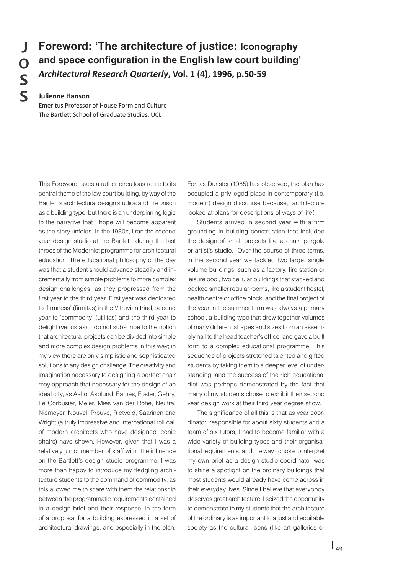# **Foreword: 'The architecture of justice: Iconography and space configuration in the English law court building'** *Architectural Research Quarterly***, Vol. 1 (4), 1996, p.50-59**

**Julienne Hanson**

Emeritus Professor of House Form and Culture The Bartlett School of Graduate Studies, UCL

This Foreword takes a rather circuitous route to its central theme of the law court building, by way of the Bartlett's architectural design studios and the prison as a building type, but there is an underpinning logic to the narrative that I hope will become apparent as the story unfolds. In the 1980s, I ran the second year design studio at the Bartlett, during the last throes of the Modernist programme for architectural education. The educational philosophy of the day was that a student should advance steadily and incrementally from simple problems to more complex design challenges, as they progressed from the first year to the third year. First year was dedicated to 'firmness' (firmitas) in the Vitruvian triad, second year to 'commodity' (utilitas) and the third year to delight (venustas). I do not subscribe to the notion that architectural projects can be divided into simple and more complex design problems in this way; in my view there are only simplistic and sophisticated solutions to any design challenge. The creativity and imagination necessary to designing a perfect chair may approach that necessary for the design of an ideal city, as Aalto, Asplund, Eames, Foster, Gehry, Le Corbusier, Meier, Mies van der Rohe, Neutra, Niemeyer, Nouvel, Prouve, Rietveld, Saarinen and Wright (a truly impressive and international roll call of modern architects who have designed iconic chairs) have shown. However, given that I was a relatively junior member of staff with little influence on the Bartlett's design studio programme, I was more than happy to introduce my fledgling architecture students to the command of commodity, as this allowed me to share with them the relationship between the programmatic requirements contained in a design brief and their response, in the form of a proposal for a building expressed in a set of architectural drawings, and especially in the plan.

For, as Dunster (1985) has observed, the plan has occupied a privileged place in contemporary (i.e. modern) design discourse because, *'*architecture looked at plans for descriptions of ways of life*'.*

Students arrived in second year with a firm grounding in building construction that included the design of small projects like a chair, pergola or artist's studio. Over the course of three terms, in the second year we tackled two large, single volume buildings, such as a factory, fire station or leisure pool, two cellular buildings that stacked and packed smaller regular rooms, like a student hostel, health centre or office block, and the final project of the year in the summer term was always a primary school, a building type that drew together volumes of many different shapes and sizes from an assembly hall to the head teacher's office, and gave a built form to a complex educational programme. This sequence of projects stretched talented and gifted students by taking them to a deeper level of understanding, and the success of the rich educational diet was perhaps demonstrated by the fact that many of my students chose to exhibit their second year design work at their third year degree show.

The significance of all this is that as year coordinator, responsible for about sixty students and a team of six tutors, I had to become familiar with a wide variety of building types and their organisational requirements, and the way I chose to interpret my own brief as a design studio coordinator was to shine a spotlight on the ordinary buildings that most students would already have come across in their everyday lives. Since I believe that everybody deserves great architecture, I seized the opportunity to demonstrate to my students that the architecture of the ordinary is as important to a just and equitable society as the cultural icons (like art galleries or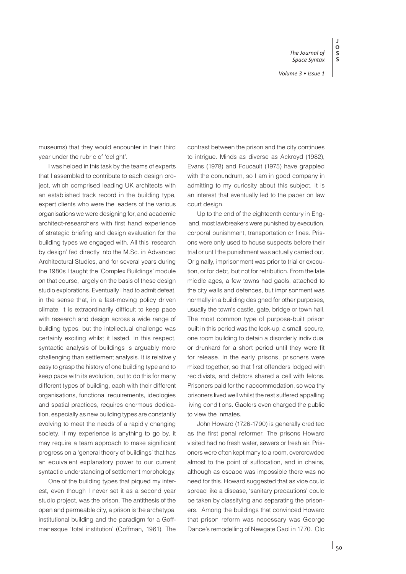**J O S S**

museums) that they would encounter in their third year under the rubric of 'delight'.

I was helped in this task by the teams of experts that I assembled to contribute to each design project, which comprised leading UK architects with an established track record in the building type, expert clients who were the leaders of the various organisations we were designing for, and academic architect-researchers with first hand experience of strategic briefing and design evaluation for the building types we engaged with. All this 'research by design' fed directly into the M.Sc. in Advanced Architectural Studies, and for several years during the 1980s I taught the 'Complex Buildings' module on that course, largely on the basis of these design studio explorations. Eventually I had to admit defeat, in the sense that, in a fast-moving policy driven climate, it is extraordinarily difficult to keep pace with research and design across a wide range of building types, but the intellectual challenge was certainly exciting whilst it lasted. In this respect, syntactic analysis of buildings is arguably more challenging than settlement analysis. It is relatively easy to grasp the history of one building type and to keep pace with its evolution, but to do this for many different types of building, each with their different organisations, functional requirements, ideologies and spatial practices, requires enormous dedication, especially as new building types are constantly evolving to meet the needs of a rapidly changing society. If my experience is anything to go by, it may require a team approach to make significant progress on a 'general theory of buildings' that has an equivalent explanatory power to our current syntactic understanding of settlement morphology.

One of the building types that piqued my interest, even though I never set it as a second year studio project, was the prison. The antithesis of the open and permeable city, a prison is the archetypal institutional building and the paradigm for a Goffmanesque 'total institution' (Goffman, 1961). The contrast between the prison and the city continues to intrigue. Minds as diverse as Ackroyd (1982), Evans (1978) and Foucault (1975) have grappled with the conundrum, so I am in good company in admitting to my curiosity about this subject. It is an interest that eventually led to the paper on law court design.

Up to the end of the eighteenth century in England, most lawbreakers were punished by execution, corporal punishment, transportation or fines. Prisons were only used to house suspects before their trial or until the punishment was actually carried out. Originally, imprisonment was prior to trial or execution, or for debt, but not for retribution. From the late middle ages, a few towns had gaols, attached to the city walls and defences, but imprisonment was normally in a building designed for other purposes, usually the town's castle, gate, bridge or town hall. The most common type of purpose-built prison built in this period was the lock-up; a small, secure, one room building to detain a disorderly individual or drunkard for a short period until they were fit for release. In the early prisons, prisoners were mixed together, so that first offenders lodged with recidivists, and debtors shared a cell with felons. Prisoners paid for their accommodation, so wealthy prisoners lived well whilst the rest suffered appalling living conditions. Gaolers even charged the public to view the inmates.

John Howard (1726-1790) is generally credited as the first penal reformer. The prisons Howard visited had no fresh water, sewers or fresh air. Prisoners were often kept many to a room, overcrowded almost to the point of suffocation, and in chains, although as escape was impossible there was no need for this. Howard suggested that as vice could spread like a disease, 'sanitary precautions' could be taken by classifying and separating the prisoners. Among the buildings that convinced Howard that prison reform was necessary was George Dance's remodelling of Newgate Gaol in 1770. Old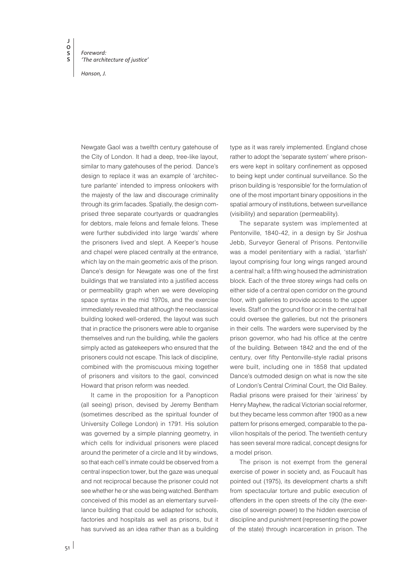*Foreword: 'The architecture of justice'*

*Hanson, J.*

Newgate Gaol was a twelfth century gatehouse of the City of London. It had a deep, tree-like layout, similar to many gatehouses of the period. Dance's design to replace it was an example of 'architecture parlante' intended to impress onlookers with the majesty of the law and discourage criminality through its grim facades. Spatially, the design comprised three separate courtyards or quadrangles for debtors, male felons and female felons. These were further subdivided into large 'wards' where the prisoners lived and slept. A Keeper's house and chapel were placed centrally at the entrance, which lay on the main geometric axis of the prison. Dance's design for Newgate was one of the first buildings that we translated into a justified access or permeability graph when we were developing space syntax in the mid 1970s, and the exercise immediately revealed that although the neoclassical building looked well-ordered, the layout was such that in practice the prisoners were able to organise themselves and run the building, while the gaolers simply acted as gatekeepers who ensured that the prisoners could not escape. This lack of discipline, combined with the promiscuous mixing together of prisoners and visitors to the gaol, convinced Howard that prison reform was needed.

It came in the proposition for a Panopticon (all seeing) prison, devised by Jeremy Bentham (sometimes described as the spiritual founder of [University College London\)](http://en.wikipedia.org/wiki/University_College_London) in 1791. His solution was governed by a simple planning geometry, in which cells for individual prisoners were placed around the perimeter of a circle and lit by windows, so that each cell's inmate could be observed from a central inspection tower, but the gaze was unequal and not reciprocal because the prisoner could not see whether he or she was being watched. Bentham conceived of this model as an elementary surveillance building that could be adapted for schools, factories and hospitals as well as prisons, but it has survived as an idea rather than as a building type as it was rarely implemented. England chose rather to adopt the 'separate system' where prisoners were kept in solitary confinement as opposed to being kept under continual surveillance. So the prison building is 'responsible' for the formulation of one of the most important binary oppositions in the spatial armoury of institutions, between surveillance (visibility) and separation (permeability).

The separate system was implemented at Pentonville, 1840-42, in a design by Sir Joshua Jebb, Surveyor General of Prisons. Pentonville was a model penitentiary with a radial, 'starfish' layout comprising four long wings ranged around a central hall; a fifth wing housed the administration block. Each of the three storey wings had cells on either side of a central open corridor on the ground floor, with galleries to provide access to the upper levels. Staff on the ground floor or in the central hall could oversee the galleries, but not the prisoners in their cells. The warders were supervised by the prison governor, who had his office at the centre of the building. Between 1842 and the end of the century, over fifty Pentonville-style radial prisons were built, including one in 1858 that updated Dance's outmoded design on what is now the site of London's Central Criminal Court, the Old Bailey. Radial prisons were praised for their 'airiness' by Henry Mayhew, the radical Victorian social reformer, but they became less common after 1900 as a new pattern for prisons emerged, comparable to the pavilion hospitals of the period. The twentieth century has seen several more radical, concept designs for a model prison.

The prison is not exempt from the general exercise of power in society and, as Foucault has pointed out (1975), its development charts a shift from spectacular torture and public execution of offenders in the open streets of the city (the exercise of sovereign power) to the hidden exercise of discipline and punishment (representing the power of the state) through incarceration in prison. The

 $\overline{51}$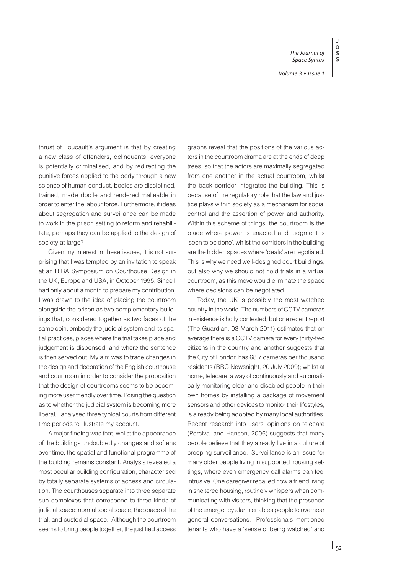**J**

**S S**

*The Journal of* 

thrust of Foucault's argument is that by creating a new class of offenders, delinquents, everyone is potentially criminalised, and by redirecting the punitive forces applied to the body through a new science of human conduct, bodies are disciplined, trained, made docile and rendered malleable in order to enter the labour force. Furthermore, if ideas about segregation and surveillance can be made to work in the prison setting to reform and rehabilitate, perhaps they can be applied to the design of society at large?

Given my interest in these issues, it is not surprising that I was tempted by an invitation to speak at an RIBA Symposium on Courthouse Design in the UK, Europe and USA, in October 1995. Since I had only about a month to prepare my contribution, I was drawn to the idea of placing the courtroom alongside the prison as two complementary buildings that, considered together as two faces of the same coin, embody the judicial system and its spatial practices, places where the trial takes place and judgement is dispensed, and where the sentence is then served out. My aim was to trace changes in the design and decoration of the English courthouse and courtroom in order to consider the proposition that the design of courtrooms seems to be becoming more user friendly over time. Posing the question as to whether the judicial system is becoming more liberal, I analysed three typical courts from different time periods to illustrate my account.

A major finding was that, whilst the appearance of the buildings undoubtedly changes and softens over time, the spatial and functional programme of the building remains constant. Analysis revealed a most peculiar building configuration, characterised by totally separate systems of access and circulation. The courthouses separate into three separate sub-complexes that correspond to three kinds of judicial space: normal social space, the space of the trial, and custodial space. Although the courtroom seems to bring people together, the justified access

graphs reveal that the positions of the various actors in the courtroom drama are at the ends of deep trees, so that the actors are maximally segregated from one another in the actual courtroom, whilst the back corridor integrates the building. This is because of the regulatory role that the law and justice plays within society as a mechanism for social control and the assertion of power and authority. Within this scheme of things, the courtroom is the place where power is enacted and judgment is 'seen to be done', whilst the corridors in the building are the hidden spaces where 'deals' are negotiated. This is why we need well-designed court buildings, but also why we should not hold trials in a virtual courtroom, as this move would eliminate the space where decisions can be negotiated.

Today, the UK is possibly the most watched country in the world. The numbers of CCTV cameras in existence is hotly contested, but one recent report (The Guardian, 03 March 2011) estimates that on average there is a CCTV camera for every thirty-two citizens in the country and another suggests that the City of London has 68.7 cameras per thousand residents (BBC Newsnight, 20 July 2009); whilst at home, telecare, a way of continuously and automatically monitoring older and disabled people in their own homes by installing a package of movement sensors and other devices to monitor their lifestyles, is already being adopted by many local authorities. Recent research into users' opinions on telecare (Percival and Hanson, 2006) suggests that many people believe that they already live in a culture of creeping surveillance. Surveillance is an issue for many older people living in supported housing settings, where even emergency call alarms can feel intrusive. One caregiver recalled how a friend living in sheltered housing, routinely whispers when communicating with visitors, thinking that the presence of the emergency alarm enables people to overhear general conversations. Professionals mentioned tenants who have a 'sense of being watched' and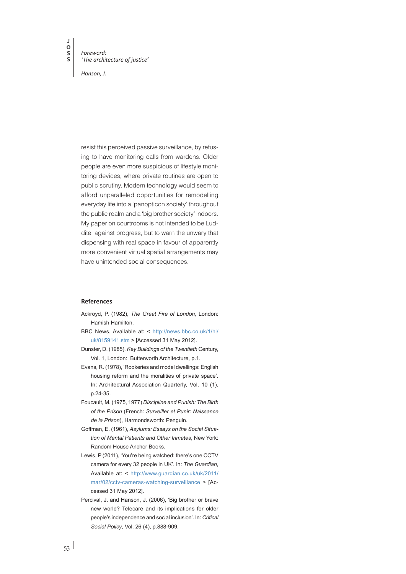*Foreword: 'The architecture of justice'*

*Hanson, J.*

resist this perceived passive surveillance, by refusing to have monitoring calls from wardens. Older people are even more suspicious of lifestyle monitoring devices, where private routines are open to public scrutiny. Modern technology would seem to afford unparalleled opportunities for remodelling everyday life into a 'panopticon society' throughout the public realm and a 'big brother society' indoors. My paper on courtrooms is not intended to be Luddite, against progress, but to warn the unwary that dispensing with real space in favour of apparently more convenient virtual spatial arrangements may have unintended social consequences.

#### **References**

 $53$ 

- Ackroyd, P. (1982), *The Great Fire of London*, London: Hamish Hamilton.
- BBC News, Available at: < [http://news.bbc.co.uk/1/hi/](http://news.bbc.co.uk/1/hi/uk/8159141.stm) [uk/8159141.stm](http://news.bbc.co.uk/1/hi/uk/8159141.stm) > [Accessed 31 May 2012].
- Dunster, D. (1985), *Key Buildings of the Twentieth* Century, Vol. 1, London: Butterworth Architecture, p.1.
- Evans, R. (1978), 'Rookeries and model dwellings: English housing reform and the moralities of private space'. In: Architectural Association Quarterly, Vol. 10 (1), p.24-35.
- Foucault, M. (1975, 1977) *Discipline and Punish: The Birth of the Prison* [\(French](http://en.wikipedia.org/wiki/French_language): *Surveiller et Punir: Naissance de la Prison*), Harmondsworth: Penguin.
- Goffman, E. (1961), *[Asylums: Essays on the Social Situa](http://books.google.com/books?id=FqELAQAAIAAJ)[tion of Mental Patients and Other Inmates](http://books.google.com/books?id=FqELAQAAIAAJ)*, New York: Random House Anchor Books.
- Lewis, P (2011), 'You're being watched: there's one CCTV camera for every 32 people in UK'. In: *The Guardian*, Available at: < [http://www.guardian.co.uk/uk/2011/](http://www.guardian.co.uk/uk/2011/mar/02/cctv-cameras-watching-surveillance) [mar/02/cctv-cameras-watching-surveillance](http://www.guardian.co.uk/uk/2011/mar/02/cctv-cameras-watching-surveillance) > [Accessed 31 May 2012].
- Percival, J. and Hanson, J. (2006), 'Big brother or brave new world? Telecare and its implications for older people's independence and social inclusion'*.* In: *Critical Social Policy*, Vol. 26 (4), p.888-909.